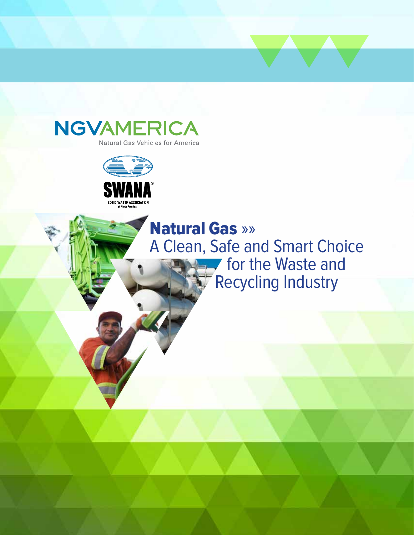



Natural Gas »» A Clean, Safe and Smart Choice **for the Waste and** Recycling Industry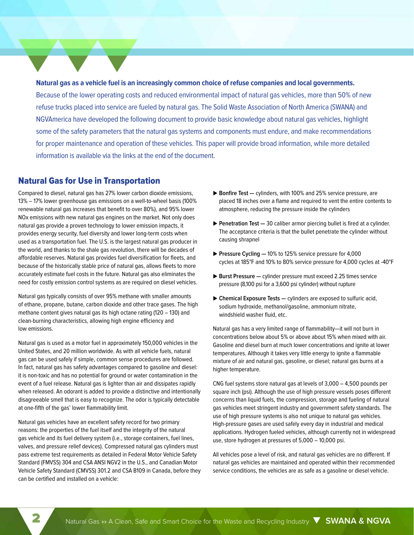**Natural gas as a vehicle fuel is an increasingly common choice of refuse companies and local governments.**  Because of the lower operating costs and reduced environmental impact of natural gas vehicles, more than 50% of new refuse trucks placed into service are fueled by natural gas. The Solid Waste Association of North America (SWANA) and NGVAmerica have developed the following document to provide basic knowledge about natural gas vehicles, highlight some of the safety parameters that the natural gas systems and components must endure, and make recommendations for proper maintenance and operation of these vehicles. This paper will provide broad information, while more detailed information is available via the links at the end of the document.

## Natural Gas for Use in Transportation

Compared to diesel, natural gas has 27% lower carbon dioxide emissions, 13% – 17% lower greenhouse gas emissions on a well-to-wheel basis (100% renewable natural gas increases that benefit to over 80%), and 95% lower NOx emissions with new natural gas engines on the market. Not only does natural gas provide a proven technology to lower emission impacts, it provides energy security, fuel diversity and lower long-term costs when used as a transportation fuel. The U.S. is the largest natural gas producer in the world, and thanks to the shale gas revolution, there will be decades of affordable reserves. Natural gas provides fuel diversification for fleets, and because of the historically stable price of natural gas, allows fleets to more accurately estimate fuel costs in the future. Natural gas also eliminates the need for costly emission control systems as are required on diesel vehicles.

Natural gas typically consists of over 95% methane with smaller amounts of ethane, propane, butane, carbon dioxide and other trace gases. The high methane content gives natural gas its high octane rating (120 – 130) and clean-burning characteristics, allowing high engine efficiency and low emissions.

Natural gas is used as a motor fuel in approximately 150,000 vehicles in the United States, and 20 million worldwide. As with all vehicle fuels, natural gas can be used safely if simple, common sense procedures are followed. In fact, natural gas has safety advantages compared to gasoline and diesel: it is non-toxic and has no potential for ground or water contamination in the event of a fuel release. Natural gas is lighter than air and dissipates rapidly when released. An odorant is added to provide a distinctive and intentionally disagreeable smell that is easy to recognize. The odor is typically detectable at one-fifth of the gas' lower flammability limit.

Natural gas vehicles have an excellent safety record for two primary reasons: the properties of the fuel itself and the integrity of the natural gas vehicle and its fuel delivery system (i.e., storage containers, fuel lines, valves, and pressure relief devices). Compressed natural gas cylinders must pass extreme test requirements as detailed in Federal Motor Vehicle Safety Standard (FMVSS) 304 and CSA ANSI NGV2 in the U.S., and Canadian Motor Vehicle Safety Standard (CMVSS) 301.2 and CSA B109 in Canada, before they can be certified and installed on a vehicle:

- ▶ Bonfire Test cylinders, with 100% and 25% service pressure, are placed 18 inches over a flame and required to vent the entire contents to atmosphere, reducing the pressure inside the cylinders
- **Penetration Test** 30 caliber armor piercing bullet is fired at a cylinder. The acceptance criteria is that the bullet penetrate the cylinder without causing shrapnel
- **Pressure Cycling**  $-10\%$  **to 125% service pressure for 4,000** cycles at 185°F and 10% to 80% service pressure for 4,000 cycles at -40°F
- **Burst Pressure —** cylinder pressure must exceed 2.25 times service pressure (8,100 psi for a 3,600 psi cylinder) without rupture
- **Chemical Exposure Tests —** cylinders are exposed to sulfuric acid, sodium hydroxide, methanol/gasoline, ammonium nitrate, windshield washer fluid, etc.

Natural gas has a very limited range of flammability—it will not burn in concentrations below about 5% or above about 15% when mixed with air. Gasoline and diesel burn at much lower concentrations and ignite at lower temperatures. Although it takes very little energy to ignite a flammable mixture of air and natural gas, gasoline, or diesel; natural gas burns at a higher temperature.

CNG fuel systems store natural gas at levels of 3,000 – 4,500 pounds per square inch (psi). Although the use of high pressure vessels poses different concerns than liquid fuels, the compression, storage and fueling of natural gas vehicles meet stringent industry and government safety standards. The use of high pressure systems is also not unique to natural gas vehicles. High-pressure gases are used safely every day in industrial and medical applications. Hydrogen fueled vehicles, although currently not in widespread use, store hydrogen at pressures of 5,000 – 10,000 psi.

All vehicles pose a level of risk, and natural gas vehicles are no different. If natural gas vehicles are maintained and operated within their recommended service conditions, the vehicles are as safe as a gasoline or diesel vehicle.

2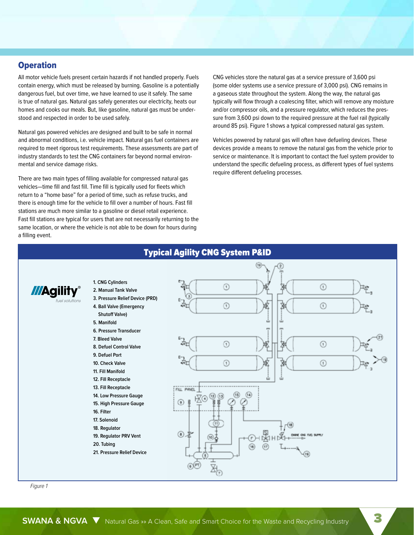## **Operation**

All motor vehicle fuels present certain hazards if not handled properly. Fuels contain energy, which must be released by burning. Gasoline is a potentially dangerous fuel, but over time, we have learned to use it safely. The same is true of natural gas. Natural gas safely generates our electricity, heats our homes and cooks our meals. But, like gasoline, natural gas must be understood and respected in order to be used safely.

Natural gas powered vehicles are designed and built to be safe in normal and abnormal conditions, i.e. vehicle impact. Natural gas fuel containers are required to meet rigorous test requirements. These assessments are part of industry standards to test the CNG containers far beyond normal environmental and service damage risks.

There are two main types of filling available for compressed natural gas vehicles—time fill and fast fill. Time fill is typically used for fleets which return to a "home base" for a period of time, such as refuse trucks, and there is enough time for the vehicle to fill over a number of hours. Fast fill stations are much more similar to a gasoline or diesel retail experience. Fast fill stations are typical for users that are not necessarily returning to the same location, or where the vehicle is not able to be down for hours during a filling event.

CNG vehicles store the natural gas at a service pressure of 3,600 psi (some older systems use a service pressure of 3,000 psi). CNG remains in a gaseous state throughout the system. Along the way, the natural gas typically will flow through a coalescing filter, which will remove any moisture and/or compressor oils, and a pressure regulator, which reduces the pressure from 3,600 psi down to the required pressure at the fuel rail (typically around 85 psi). Figure 1 shows a typical compressed natural gas system.

Vehicles powered by natural gas will often have defueling devices. These devices provide a means to remove the natural gas from the vehicle prior to service or maintenance. It is important to contact the fuel system provider to understand the specific defueling process, as different types of fuel systems require different defueling processes.



Figure 1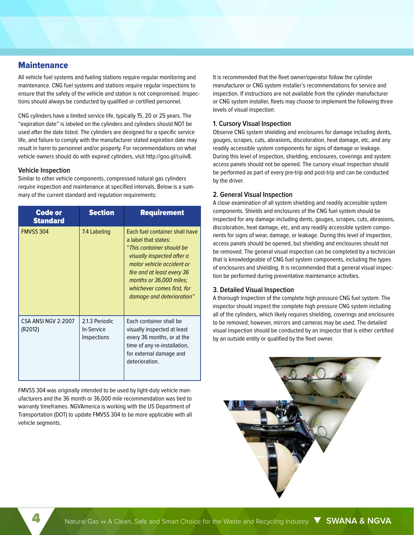## **Maintenance**

All vehicle fuel systems and fueling stations require regular monitoring and maintenance. CNG fuel systems and stations require regular inspections to ensure that the safety of the vehicle and station is not compromised. Inspections should always be conducted by qualified or certified personnel.

CNG cylinders have a limited service life, typically 15, 20 or 25 years. The "expiration date" is labeled on the cylinders and cylinders should NOT be used after the date listed. The cylinders are designed for a specific service life, and failure to comply with the manufacturer stated expiration date may result in harm to personnel and/or property. For recommendations on what vehicle owners should do with expired cylinders, visit http://goo.gl/cuiiv8.

#### **Vehicle Inspection**

Similar to other vehicle components, compressed natural gas cylinders require inspection and maintenance at specified intervals. Below is a summary of the current standard and regulation requirements:

| <b>Code or</b><br><b>Standard</b> | <b>Section</b>                              | <b>Requirement</b>                                                                                                                                                                                                                                                 |
|-----------------------------------|---------------------------------------------|--------------------------------------------------------------------------------------------------------------------------------------------------------------------------------------------------------------------------------------------------------------------|
| <b>FMVSS 304</b>                  | 7.4 Labeling                                | Each fuel container shall have<br>a label that states:<br>"This container should be<br>visually inspected after a<br>motor vehicle accident or<br>fire and at least every 36<br>months or 36,000 miles;<br>whichever comes first, for<br>damage and deterioration" |
| CSA ANSI NGV 2-2007<br>(R2012)    | 2.1.3 Periodic<br>In-Service<br>Inspections | Each container shall be<br>visually inspected at least<br>every 36 months, or at the<br>time of any re-installation,<br>for external damage and<br>deterioration.                                                                                                  |

FMVSS 304 was originally intended to be used by light-duty vehicle manufacturers and the 36 month or 36,000 mile recommendation was tied to warranty timeframes. NGVAmerica is working with the US Department of Transportation (DOT) to update FMVSS 304 to be more applicable with all vehicle segments.

It is recommended that the fleet owner/operator follow the cylinder manufacturer or CNG system installer's recommendations for service and inspection. If instructions are not available from the cylinder manufacturer or CNG system installer, fleets may choose to implement the following three levels of visual inspection:

#### **1. Cursory Visual Inspection**

Observe CNG system shielding and enclosures for damage including dents, gouges, scrapes, cuts, abrasions, discoloration, heat damage, etc, and any readily accessible system components for signs of damage or leakage. During this level of inspection, shielding, enclosures, coverings and system access panels should not be opened. The cursory visual inspection should be performed as part of every pre-trip and post-trip and can be conducted by the driver.

#### **2. General Visual Inspection**

A close examination of all system shielding and readily accessible system components. Shields and enclosures of the CNG fuel system should be inspected for any damage including dents, gouges, scrapes, cuts, abrasions, discoloration, heat damage, etc, and any readily accessible system components for signs of wear, damage, or leakage. During this level of inspection, access panels should be opened, but shielding and enclosures should not be removed. The general visual inspection can be completed by a technician that is knowledgeable of CNG fuel system components, including the types of enclosures and shielding. It is recommended that a general visual inspection be performed during preventative maintenance activities.

### **3. Detailed Visual Inspection**

A thorough inspection of the complete high pressure CNG fuel system. The inspector should inspect the complete high pressure CNG system including all of the cylinders, which likely requires shielding, coverings and enclosures to be removed; however, mirrors and cameras may be used. The detailed visual inspection should be conducted by an inspector that is either certified by an outside entity or qualified by the fleet owner.

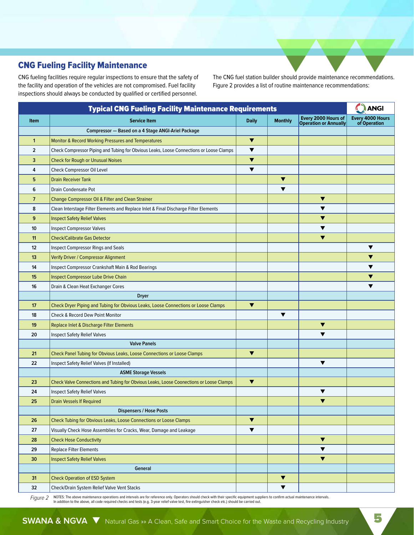# CNG Fueling Facility Maintenance

CNG fueling facilities require regular inspections to ensure that the safety of the facility and operation of the vehicles are not compromised. Fuel facility inspections should always be conducted by qualified or certified personnel.

The CNG fuel station builder should provide maintenance recommendations. Figure 2 provides a list of routine maintenance recommendations:

| <b>Typical CNG Fueling Facility Maintenance Requirements</b> |                                                                                         |                      |                      |                                                     | <b>ANGI</b>                      |
|--------------------------------------------------------------|-----------------------------------------------------------------------------------------|----------------------|----------------------|-----------------------------------------------------|----------------------------------|
| <b>Item</b>                                                  | <b>Service Item</b>                                                                     | <b>Daily</b>         | <b>Monthly</b>       | Every 2000 Hours of<br><b>Operation or Annually</b> | Every 4000 Hours<br>of Operation |
|                                                              | Compressor - Based on a 4 Stage ANGI-Ariel Package                                      |                      |                      |                                                     |                                  |
| $\mathbf{1}$                                                 | Monitor & Record Working Pressures and Temperatures                                     | ▼                    |                      |                                                     |                                  |
| $\overline{2}$                                               | Check Compressor Piping and Tubing for Obvious Leaks, Loose Connections or Loose Clamps | $\blacktriangledown$ |                      |                                                     |                                  |
| 3                                                            | <b>Check for Rough or Unusual Noises</b>                                                | $\blacktriangledown$ |                      |                                                     |                                  |
| 4                                                            | Check Compressor Oil Level                                                              | ▼                    |                      |                                                     |                                  |
| 5                                                            | <b>Drain Receiver Tank</b>                                                              |                      | $\blacktriangledown$ |                                                     |                                  |
| 6                                                            | Drain Condensate Pot                                                                    |                      | $\blacktriangledown$ |                                                     |                                  |
| $\overline{7}$                                               | Change Compressor Oil & Filter and Clean Strainer                                       |                      |                      | $\blacktriangledown$                                |                                  |
| 8                                                            | Clean Interstage Filter Elements and Replace Inlet & Final Discharge Filter Elements    |                      |                      | ▼                                                   |                                  |
| 9                                                            | <b>Inspect Safety Relief Valves</b>                                                     |                      |                      | ▼                                                   |                                  |
| 10                                                           | <b>Inspect Compressor Valves</b>                                                        |                      |                      | ▼                                                   |                                  |
| 11                                                           | <b>Check/Calibrate Gas Detector</b>                                                     |                      |                      | ▼                                                   |                                  |
| 12                                                           | Inspect Compressor Rings and Seals                                                      |                      |                      |                                                     | $\blacktriangledown$             |
| 13                                                           | Verify Driver / Compressor Alignment                                                    |                      |                      |                                                     | ▼                                |
| 14                                                           | Inspect Compressor Crankshaft Main & Rod Bearings                                       |                      |                      |                                                     | ▼                                |
| 15                                                           | <b>Inspect Compressor Lube Drive Chain</b>                                              |                      |                      |                                                     | ▼                                |
| 16                                                           | Drain & Clean Heat Exchanger Cores                                                      |                      |                      |                                                     | ▼                                |
|                                                              | <b>Dryer</b>                                                                            |                      |                      |                                                     |                                  |
| 17                                                           | Check Dryer Piping and Tubing for Obvious Leaks, Loose Connections or Loose Clamps      | $\blacktriangledown$ |                      |                                                     |                                  |
| 18                                                           | Check & Record Dew Point Monitor                                                        |                      | $\blacktriangledown$ |                                                     |                                  |
| 19                                                           | Replace Inlet & Discharge Filter Elements                                               |                      |                      | ▼                                                   |                                  |
| 20                                                           | <b>Inspect Safety Relief Valves</b>                                                     |                      |                      | $\blacktriangledown$                                |                                  |
|                                                              | <b>Valve Panels</b>                                                                     |                      |                      |                                                     |                                  |
| 21                                                           | Check Panel Tubing for Obvious Leaks, Loose Connections or Loose Clamps                 | $\blacktriangledown$ |                      |                                                     |                                  |
| 22                                                           | Inspect Safety Relief Valves (If Installed)                                             |                      |                      | $\blacktriangledown$                                |                                  |
|                                                              | <b>ASME Storage Vessels</b>                                                             |                      |                      |                                                     |                                  |
| 23                                                           | Check Valve Connections and Tubing for Obvious Leaks, Loose Coonections or Loose Clamps | $\blacktriangledown$ |                      |                                                     |                                  |
| 24                                                           | <b>Inspect Safety Relief Valves</b>                                                     |                      |                      | ▼                                                   |                                  |
| 25                                                           | <b>Drain Vessels If Required</b>                                                        |                      |                      | ▼                                                   |                                  |
|                                                              | <b>Dispensers / Hose Posts</b>                                                          |                      |                      |                                                     |                                  |
| 26                                                           | Check Tubing for Obvious Leaks, Loose Connections or Loose Clamps                       | $\blacktriangledown$ |                      |                                                     |                                  |
| 27                                                           | Visually Check Hose Assemblies for Cracks, Wear, Damage and Leakage                     | $\blacktriangledown$ |                      |                                                     |                                  |
| 28                                                           | <b>Check Hose Conductivity</b>                                                          |                      |                      | $\blacktriangledown$                                |                                  |
| 29                                                           | <b>Replace Filter Elements</b>                                                          |                      |                      | ▼                                                   |                                  |
| 30                                                           | <b>Inspect Safety Relief Valves</b>                                                     |                      |                      | $\blacktriangledown$                                |                                  |
|                                                              | General                                                                                 |                      |                      |                                                     |                                  |
| 31                                                           | <b>Check Operation of ESD System</b>                                                    |                      | $\blacktriangledown$ |                                                     |                                  |
| 32                                                           | Check/Drain System Relief Valve Vent Stacks                                             |                      | $\blacktriangledown$ |                                                     |                                  |

Figure 2 NOTES: The above maintenance operations and intervals are for reference only. Operators should check with their specific equipment suppliers to confirm actual maintenance intervals.<br>In addition to the above, all c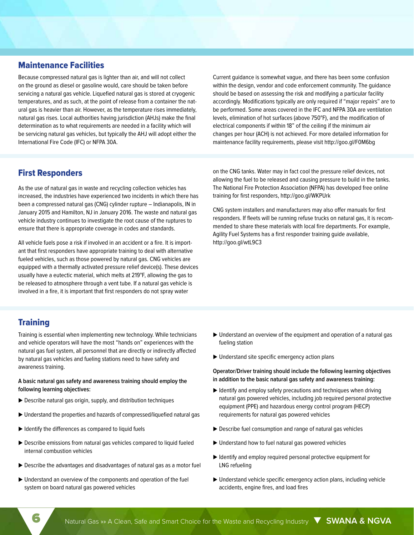## Maintenance Facilities

Because compressed natural gas is lighter than air, and will not collect on the ground as diesel or gasoline would, care should be taken before servicing a natural gas vehicle. Liquefied natural gas is stored at cryogenic temperatures, and as such, at the point of release from a container the natural gas is heavier than air. However, as the temperature rises immediately, natural gas rises. Local authorities having jurisdiction (AHJs) make the final determination as to what requirements are needed in a facility which will be servicing natural gas vehicles, but typically the AHJ will adopt either the International Fire Code (IFC) or NFPA 30A.

Current guidance is somewhat vague, and there has been some confusion within the design, vendor and code enforcement community. The guidance should be based on assessing the risk and modifying a particular facility accordingly. Modifications typically are only required if "major repairs" are to be performed. Some areas covered in the IFC and NFPA 30A are ventilation levels, elimination of hot surfaces (above 750°F), and the modification of electrical components if within 18" of the ceiling if the minimum air changes per hour (ACH) is not achieved. For more detailed information for maintenance facility requirements, please visit http://goo.gl/F0M6bg

## First Responders

As the use of natural gas in waste and recycling collection vehicles has increased, the industries have experienced two incidents in which there has been a compressed natural gas (CNG) cylinder rupture – Indianapolis, IN in January 2015 and Hamilton, NJ in January 2016. The waste and natural gas vehicle industry continues to investigate the root cause of the ruptures to ensure that there is appropriate coverage in codes and standards.

All vehicle fuels pose a risk if involved in an accident or a fire. It is important that first responders have appropriate training to deal with alternative fueled vehicles, such as those powered by natural gas. CNG vehicles are equipped with a thermally activated pressure relief device(s). These devices usually have a eutectic material, which melts at 219°F, allowing the gas to be released to atmosphere through a vent tube. If a natural gas vehicle is involved in a fire, it is important that first responders do not spray water

on the CNG tanks. Water may in fact cool the pressure relief devices, not allowing the fuel to be released and causing pressure to build in the tanks. The National Fire Protection Association (NFPA) has developed free online training for first responders, http://goo.gl/WKPUrk

CNG system installers and manufacturers may also offer manuals for first responders. If fleets will be running refuse trucks on natural gas, it is recommended to share these materials with local fire departments. For example, Agility Fuel Systems has a first responder training guide available, http://goo.gl/wtL9C3

## **Training**

Training is essential when implementing new technology. While technicians and vehicle operators will have the most "hands on" experiences with the natural gas fuel system, all personnel that are directly or indirectly affected by natural gas vehicles and fueling stations need to have safety and awareness training.

#### **A basic natural gas safety and awareness training should employ the following learning objectives:**

- Describe natural gas origin, supply, and distribution techniques
- Understand the properties and hazards of compressed/liquefied natural gas
- $\blacktriangleright$  Identify the differences as compared to liquid fuels
- Describe emissions from natural gas vehicles compared to liquid fueled internal combustion vehicles
- Describe the advantages and disadvantages of natural gas as a motor fuel
- Understand an overview of the components and operation of the fuel system on board natural gas powered vehicles
- Understand an overview of the equipment and operation of a natural gas fueling station
- Understand site specific emergency action plans

#### **Operator/Driver training should include the following learning objectives in addition to the basic natural gas safety and awareness training:**

- Identify and employ safety precautions and techniques when driving natural gas powered vehicles, including job required personal protective equipment (PPE) and hazardous energy control program (HECP) requirements for natural gas powered vehicles
- Describe fuel consumption and range of natural gas vehicles
- Understand how to fuel natural gas powered vehicles
- Identify and employ required personal protective equipment for LNG refueling
- Understand vehicle specific emergency action plans, including vehicle accidents, engine fires, and load fires

6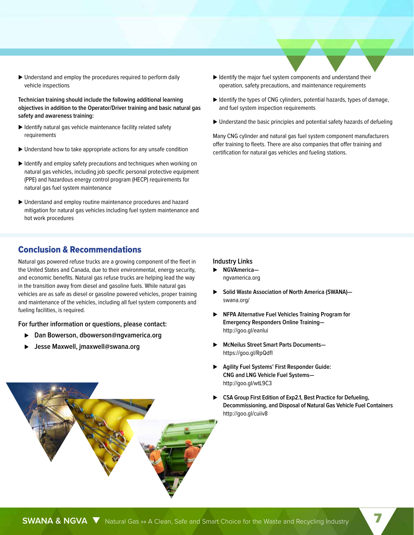Understand and employ the procedures required to perform daily vehicle inspections

**Technician training should include the following additional learning objectives in addition to the Operator/Driver training and basic natural gas safety and awareness training:**

- $\blacktriangleright$  Identify natural gas vehicle maintenance facility related safety requirements
- ▶ Understand how to take appropriate actions for any unsafe condition
- Identify and employ safety precautions and techniques when working on natural gas vehicles, including job specific personal protective equipment (PPE) and hazardous energy control program (HECP) requirements for natural gas fuel system maintenance
- Understand and employ routine maintenance procedures and hazard mitigation for natural gas vehicles including fuel system maintenance and hot work procedures
- $\blacktriangleright$  Identify the major fuel system components and understand their operation, safety precautions, and maintenance requirements
- $\blacktriangleright$  Identify the types of CNG cylinders, potential hazards, types of damage, and fuel system inspection requirements
- Understand the basic principles and potential safety hazards of defueling

Many CNG cylinder and natural gas fuel system component manufacturers offer training to fleets. There are also companies that offer training and certification for natural gas vehicles and fueling stations.

## Conclusion & Recommendations

Natural gas powered refuse trucks are a growing component of the fleet in the United States and Canada, due to their environmental, energy security, and economic benefits. Natural gas refuse trucks are helping lead the way in the transition away from diesel and gasoline fuels. While natural gas vehicles are as safe as diesel or gasoline powered vehicles, proper training and maintenance of the vehicles, including all fuel system components and fueling facilities, is required.

**For further information or questions, please contact:**

- **Dan Bowerson, dbowerson@ngvamerica.org**
- **Jesse Maxwell, jmaxwell@swana.org**

#### **Industry Links**

- **NGVAmerica** ngvamerica.org
- ▶ Solid Waste Association of North America (SWANA)– swana.org/
- **NFPA Alternative Fuel Vehicles Training Program for Emergency Responders Online Training** http://goo.gl/eanlui
- **McNeilus Street Smart Parts Documents** https://goo.gl/RpQdfI
- **Agility Fuel Systems' First Responder Guide: CNG and LNG Vehicle Fuel Systems** http://goo.gl/wtL9C3
- **CSA Group First Edition of Exp2.1, Best Practice for Defueling, Decommissioning, and Disposal of Natural Gas Vehicle Fuel Containers** http://goo.gl/cuiiv8